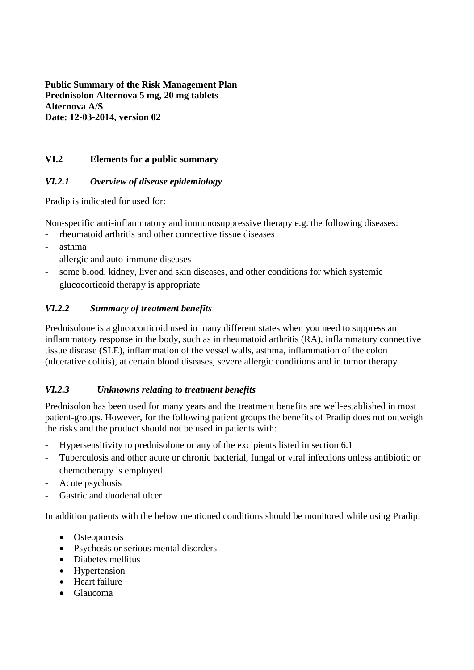**Public Summary of the Risk Management Plan Prednisolon Alternova 5 mg, 20 mg tablets Alternova A/S Date: 12-03-2014, version 02**

### **VI.2 Elements for a public summary**

### *VI.2.1 Overview of disease epidemiology*

Pradip is indicated for used for:

Non-specific anti-inflammatory and immunosuppressive therapy e.g. the following diseases:

- rheumatoid arthritis and other connective tissue diseases
- asthma
- allergic and auto-immune diseases
- some blood, kidney, liver and skin diseases, and other conditions for which systemic glucocorticoid therapy is appropriate

### *VI.2.2 Summary of treatment benefits*

Prednisolone is a glucocorticoid used in many different states when you need to suppress an inflammatory response in the body, such as in rheumatoid arthritis (RA), inflammatory connective tissue disease (SLE), inflammation of the vessel walls, asthma, inflammation of the colon (ulcerative colitis), at certain blood diseases, severe allergic conditions and in tumor therapy.

### *VI.2.3 Unknowns relating to treatment benefits*

Prednisolon has been used for many years and the treatment benefits are well-established in most patient-groups. However, for the following patient groups the benefits of Pradip does not outweigh the risks and the product should not be used in patients with:

- Hypersensitivity to prednisolone or any of the excipients listed in section 6.1
- Tuberculosis and other acute or chronic bacterial, fungal or viral infections unless antibiotic or chemotherapy is employed
- Acute psychosis
- Gastric and duodenal ulcer

In addition patients with the below mentioned conditions should be monitored while using Pradip:

- Osteoporosis
- Psychosis or serious mental disorders
- Diabetes mellitus
- Hypertension
- Heart failure
- Glaucoma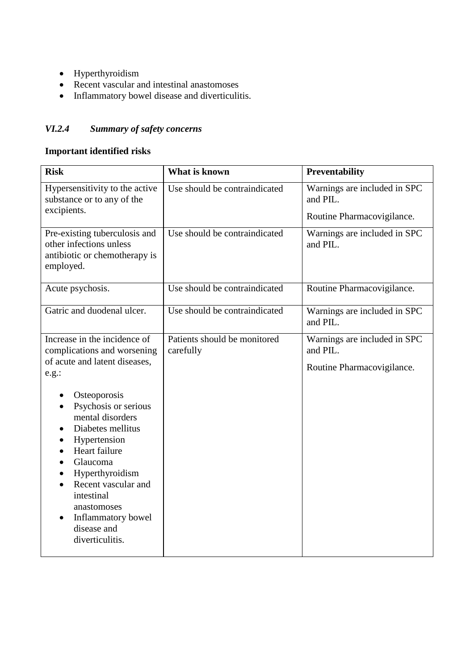- Hyperthyroidism
- Recent vascular and intestinal anastomoses
- Inflammatory bowel disease and diverticulitis.

## *VI.2.4 Summary of safety concerns*

### **Important identified risks**

| <b>Risk</b>                                                                                                                                                                                                                                                                              | What is known                             | Preventability                                                         |
|------------------------------------------------------------------------------------------------------------------------------------------------------------------------------------------------------------------------------------------------------------------------------------------|-------------------------------------------|------------------------------------------------------------------------|
| Hypersensitivity to the active<br>substance or to any of the                                                                                                                                                                                                                             | Use should be contraindicated             | Warnings are included in SPC<br>and PIL.                               |
| excipients.                                                                                                                                                                                                                                                                              |                                           | Routine Pharmacovigilance.                                             |
| Pre-existing tuberculosis and<br>other infections unless<br>antibiotic or chemotherapy is<br>employed.                                                                                                                                                                                   | Use should be contraindicated             | Warnings are included in SPC<br>and PIL.                               |
| Acute psychosis.                                                                                                                                                                                                                                                                         | Use should be contraindicated             | Routine Pharmacovigilance.                                             |
| Gatric and duodenal ulcer.                                                                                                                                                                                                                                                               | Use should be contraindicated             | Warnings are included in SPC<br>and PIL.                               |
| Increase in the incidence of<br>complications and worsening<br>of acute and latent diseases,<br>e.g.:                                                                                                                                                                                    | Patients should be monitored<br>carefully | Warnings are included in SPC<br>and PIL.<br>Routine Pharmacovigilance. |
| Osteoporosis<br>Psychosis or serious<br>mental disorders<br>Diabetes mellitus<br>Hypertension<br>٠<br>Heart failure<br>$\bullet$<br>Glaucoma<br>Hyperthyroidism<br>Recent vascular and<br>intestinal<br>anastomoses<br>Inflammatory bowel<br>$\bullet$<br>disease and<br>diverticulitis. |                                           |                                                                        |